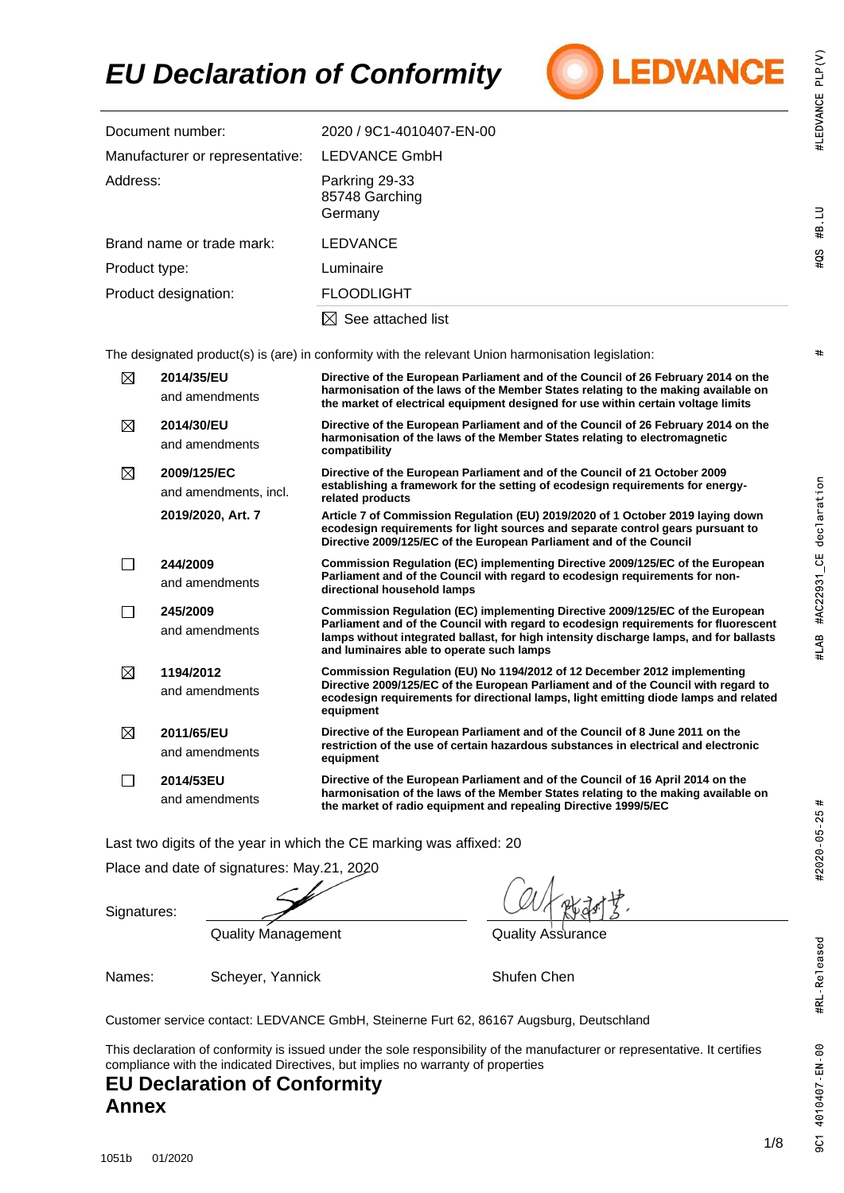

| Document number:                | 2020 / 9C1-4010407-EN-00                    |
|---------------------------------|---------------------------------------------|
| Manufacturer or representative: | LEDVANCE GmbH                               |
| Address:                        | Parkring 29-33<br>85748 Garching<br>Germany |
| Brand name or trade mark:       | <b>LEDVANCE</b>                             |
| Product type:                   | Luminaire                                   |
| Product designation:            | <b>FLOODLIGHT</b>                           |
|                                 | $\boxtimes$ See attached list               |
|                                 |                                             |

The designated product(s) is (are) in conformity with the relevant Union harmonisation legislation:

| ⊠ | 2014/35/EU<br>and amendments         | Directive of the European Parliament and of the Council of 26 February 2014 on the<br>harmonisation of the laws of the Member States relating to the making available on<br>the market of electrical equipment designed for use within certain voltage limits                                               |
|---|--------------------------------------|-------------------------------------------------------------------------------------------------------------------------------------------------------------------------------------------------------------------------------------------------------------------------------------------------------------|
| ⊠ | 2014/30/EU<br>and amendments         | Directive of the European Parliament and of the Council of 26 February 2014 on the<br>harmonisation of the laws of the Member States relating to electromagnetic<br>compatibility                                                                                                                           |
| ⊠ | 2009/125/EC<br>and amendments, incl. | Directive of the European Parliament and of the Council of 21 October 2009<br>establishing a framework for the setting of ecodesign requirements for energy-<br>related products                                                                                                                            |
|   | 2019/2020, Art. 7                    | Article 7 of Commission Regulation (EU) 2019/2020 of 1 October 2019 laying down<br>ecodesign requirements for light sources and separate control gears pursuant to<br>Directive 2009/125/EC of the European Parliament and of the Council                                                                   |
|   | 244/2009<br>and amendments           | Commission Regulation (EC) implementing Directive 2009/125/EC of the European<br>Parliament and of the Council with regard to ecodesign reguirements for non-<br>directional household lamps                                                                                                                |
|   | 245/2009<br>and amendments           | Commission Regulation (EC) implementing Directive 2009/125/EC of the European<br>Parliament and of the Council with regard to ecodesign requirements for fluorescent<br>lamps without integrated ballast, for high intensity discharge lamps, and for ballasts<br>and luminaires able to operate such lamps |
| ⊠ | 1194/2012<br>and amendments          | Commission Regulation (EU) No 1194/2012 of 12 December 2012 implementing<br>Directive 2009/125/EC of the European Parliament and of the Council with regard to<br>ecodesign requirements for directional lamps, light emitting diode lamps and related<br>equipment                                         |
| ⊠ | 2011/65/EU<br>and amendments         | Directive of the European Parliament and of the Council of 8 June 2011 on the<br>restriction of the use of certain hazardous substances in electrical and electronic<br>equipment                                                                                                                           |
|   | 2014/53EU<br>and amendments          | Directive of the European Parliament and of the Council of 16 April 2014 on the<br>harmonisation of the laws of the Member States relating to the making available on<br>the market of radio equipment and repealing Directive 1999/5/EC                                                                    |

Last two digits of the year in which the CE marking was affixed: 20

Place and date of signatures: May.21, 2020

Signatures:

Quality Management **Quality Assurance** 

Names: Scheyer, Yannick Shufen Chen

Customer service contact: LEDVANCE GmbH, Steinerne Furt 62, 86167 Augsburg, Deutschland

This declaration of conformity is issued under the sole responsibility of the manufacturer or representative. It certifies compliance with the indicated Directives, but implies no warranty of properties

#### **EU Declaration of Conformity Annex**

9C1

#2020 05 25 #

#LAB #AC22931\_CE declaration

#LEDVANCE PLP(V)

 $\#B$  LU

 $405$ 

 $#$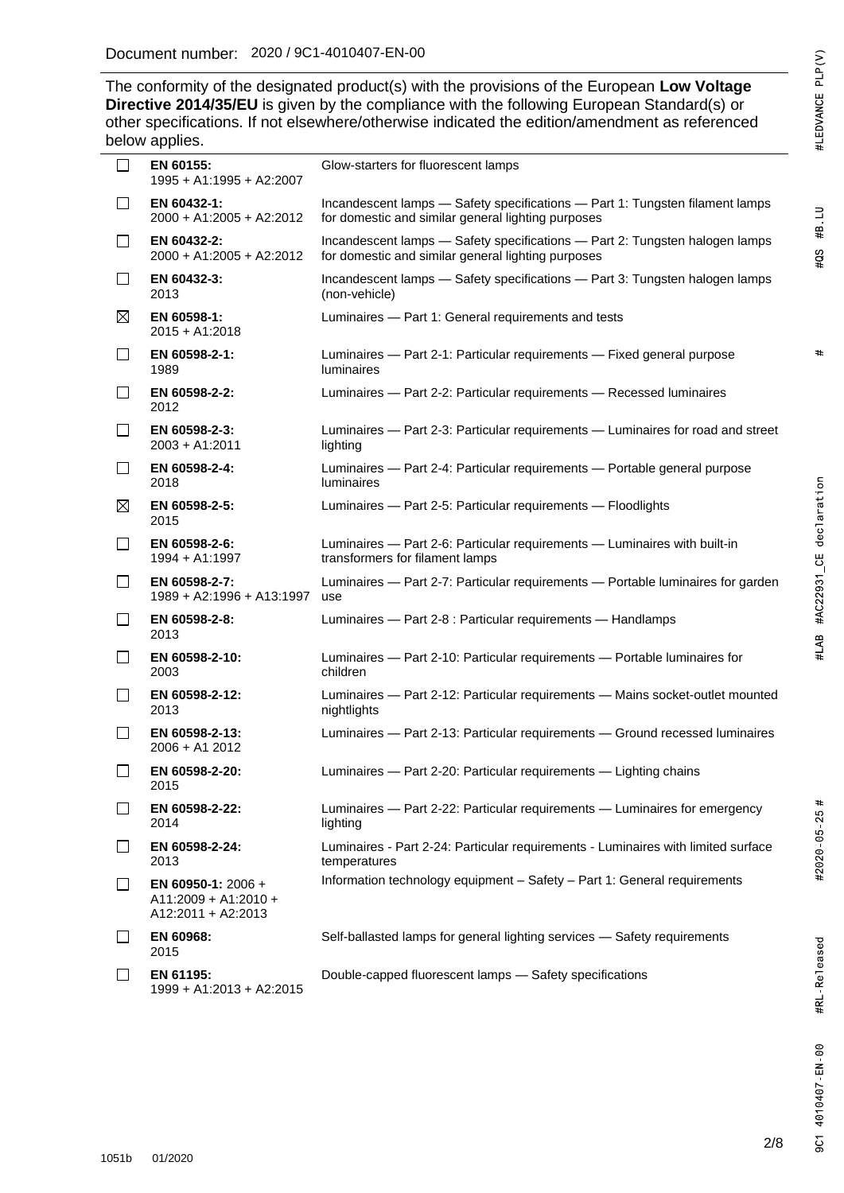$#$ 

2020 / 9C1- The conformity of the designated product(s) with the provisions of the European Low Voltage **Directive 2014/35/EU** is given by the compliance with the following European Standard(s) or other specifications. If not elsewhere/otherwise indicated the edition/amendment as referenced below applies.

| $\Box$       | EN 60155:<br>1995 + A1:1995 + A2:2007                                | Glow-starters for fluorescent lamps                                                                                                |
|--------------|----------------------------------------------------------------------|------------------------------------------------------------------------------------------------------------------------------------|
| $\Box$       | EN 60432-1:<br>2000 + A1:2005 + A2:2012                              | Incandescent lamps - Safety specifications - Part 1: Tungsten filament lamps<br>for domestic and similar general lighting purposes |
| $\Box$       | EN 60432-2:<br>2000 + A1:2005 + A2:2012                              | Incandescent lamps - Safety specifications - Part 2: Tungsten halogen lamps<br>for domestic and similar general lighting purposes  |
| □            | EN 60432-3:<br>2013                                                  | Incandescent lamps - Safety specifications - Part 3: Tungsten halogen lamps<br>(non-vehicle)                                       |
| $\boxtimes$  | EN 60598-1:<br>$2015 + A1:2018$                                      | Luminaires - Part 1: General requirements and tests                                                                                |
| $\mathsf{L}$ | EN 60598-2-1:<br>1989                                                | Luminaires - Part 2-1: Particular requirements - Fixed general purpose<br><b>luminaires</b>                                        |
| $\Box$       | EN 60598-2-2:<br>2012                                                | Luminaires - Part 2-2: Particular requirements - Recessed luminaires                                                               |
| l 1          | EN 60598-2-3:<br>2003 + A1:2011                                      | Luminaires - Part 2-3: Particular requirements - Luminaires for road and street<br>lighting                                        |
| $\mathsf{L}$ | EN 60598-2-4:<br>2018                                                | Luminaires - Part 2-4: Particular requirements - Portable general purpose<br><b>luminaires</b>                                     |
| $\boxtimes$  | EN 60598-2-5:<br>2015                                                | Luminaires - Part 2-5: Particular requirements - Floodlights                                                                       |
| $\Box$       | EN 60598-2-6:<br>1994 + A1:1997                                      | Luminaires - Part 2-6: Particular requirements - Luminaires with built-in<br>transformers for filament lamps                       |
| $\Box$       | EN 60598-2-7:<br>1989 + A2:1996 + A13:1997                           | Luminaires - Part 2-7: Particular requirements - Portable luminaires for garden<br>use                                             |
| $\Box$       | EN 60598-2-8:<br>2013                                                | Luminaires - Part 2-8 : Particular requirements - Handlamps                                                                        |
| П            | EN 60598-2-10:<br>2003                                               | Luminaires - Part 2-10: Particular requirements - Portable luminaires for<br>children                                              |
| ப            | EN 60598-2-12:<br>2013                                               | Luminaires - Part 2-12: Particular requirements - Mains socket-outlet mounted<br>nightlights                                       |
| $\mathsf{L}$ | EN 60598-2-13:<br>2006 + A1 2012                                     | Luminaires - Part 2-13: Particular requirements - Ground recessed luminaires                                                       |
| $\Box$       | EN 60598-2-20:<br>2015                                               | Luminaires - Part 2-20: Particular requirements - Lighting chains                                                                  |
| $\mathsf{L}$ | EN 60598-2-22:<br>2014                                               | Luminaires - Part 2-22: Particular requirements - Luminaires for emergency<br>lighting                                             |
|              | EN 60598-2-24:<br>2013                                               | Luminaires - Part 2-24: Particular requirements - Luminaires with limited surface<br>temperatures                                  |
| $\mathsf{L}$ | EN 60950-1: $2006 +$<br>$A11:2009 + A1:2010 +$<br>A12:2011 + A2:2013 | Information technology equipment - Safety - Part 1: General requirements                                                           |
| l 1          | EN 60968:<br>2015                                                    | Self-ballasted lamps for general lighting services - Safety requirements                                                           |
|              | EN 61195:                                                            | Double-capped fluorescent lamps - Safety specifications                                                                            |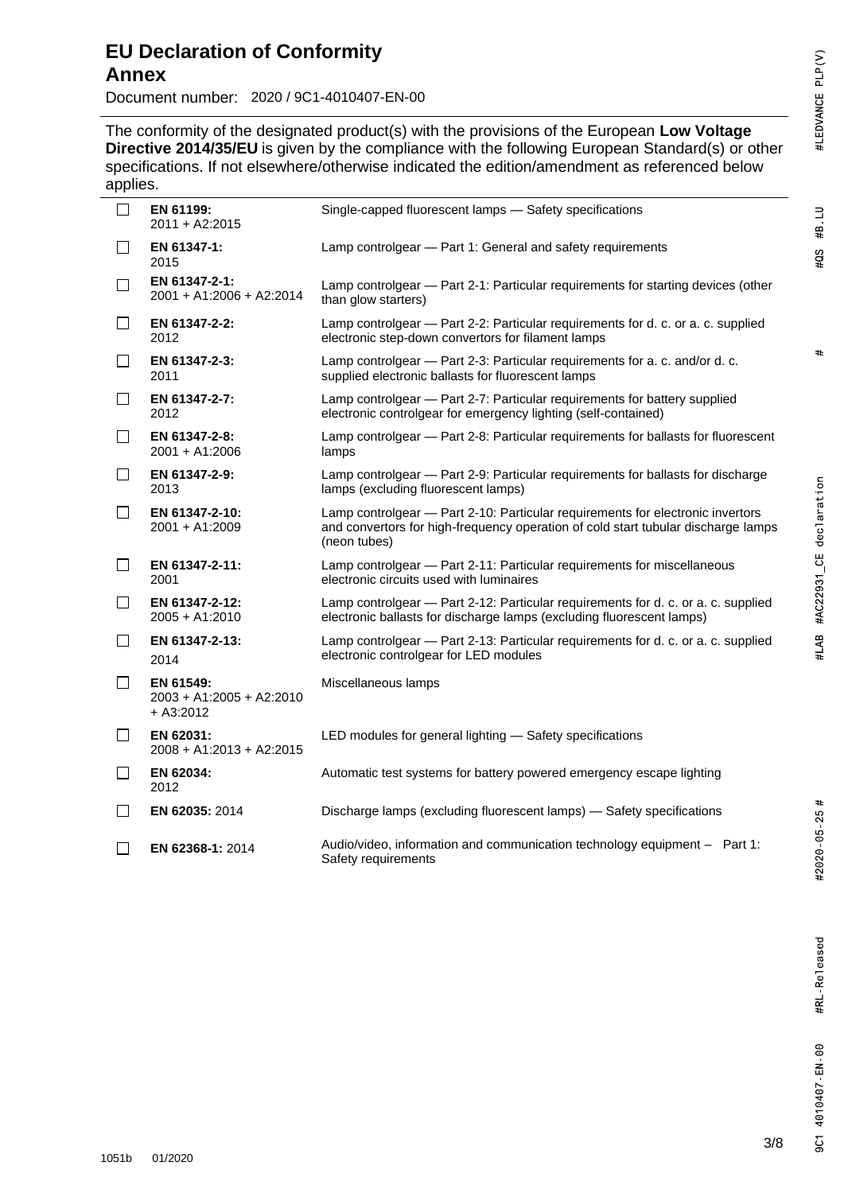$\#B$  LU

 $#QS$ 

 $#$ 

# #LAB #AC22931\_CE declaration

#### **EU Declaration of Conformity Annex**

Document number: 2020 / 9C1-4010407-EN-00

2020 / 9C1- The conformity of the designated product(s) with the provisions of the European Low Voltage **Directive 2014/35/EU** is given by the compliance with the following European Standard(s) or other specifications. If not elsewhere/otherwise indicated the edition/amendment as referenced below applies.

| . .          |                                                      |                                                                                                                                                                                     |
|--------------|------------------------------------------------------|-------------------------------------------------------------------------------------------------------------------------------------------------------------------------------------|
|              | EN 61199:<br>2011 + A2:2015                          | Single-capped fluorescent lamps - Safety specifications                                                                                                                             |
| ⊔            | EN 61347-1:<br>2015                                  | Lamp controlgear - Part 1: General and safety requirements                                                                                                                          |
| $\Box$       | EN 61347-2-1:<br>2001 + A1:2006 + A2:2014            | Lamp controlgear — Part 2-1: Particular requirements for starting devices (other<br>than glow starters)                                                                             |
| $\Box$       | EN 61347-2-2:<br>2012                                | Lamp controlgear - Part 2-2: Particular requirements for d. c. or a. c. supplied<br>electronic step-down convertors for filament lamps                                              |
| $\perp$      | EN 61347-2-3:<br>2011                                | Lamp controlgear - Part 2-3: Particular requirements for a. c. and/or d. c.<br>supplied electronic ballasts for fluorescent lamps                                                   |
| $\mathsf{L}$ | EN 61347-2-7:<br>2012                                | Lamp controlgear - Part 2-7: Particular requirements for battery supplied<br>electronic controlgear for emergency lighting (self-contained)                                         |
| $\Box$       | EN 61347-2-8:<br>2001 + A1:2006                      | Lamp controlgear - Part 2-8: Particular requirements for ballasts for fluorescent<br>lamps                                                                                          |
| $\Box$       | EN 61347-2-9:<br>2013                                | Lamp controlgear - Part 2-9: Particular requirements for ballasts for discharge<br>lamps (excluding fluorescent lamps)                                                              |
| $\perp$      | EN 61347-2-10:<br>2001 + A1:2009                     | Lamp controlgear - Part 2-10: Particular requirements for electronic invertors<br>and convertors for high-frequency operation of cold start tubular discharge lamps<br>(neon tubes) |
| $\mathsf{L}$ | EN 61347-2-11:<br>2001                               | Lamp controlgear - Part 2-11: Particular requirements for miscellaneous<br>electronic circuits used with luminaires                                                                 |
| $\perp$      | EN 61347-2-12:<br>$2005 + A1:2010$                   | Lamp controlgear - Part 2-12: Particular requirements for d. c. or a. c. supplied<br>electronic ballasts for discharge lamps (excluding fluorescent lamps)                          |
| $\Box$       | EN 61347-2-13:<br>2014                               | Lamp controlgear - Part 2-13: Particular requirements for d. c. or a. c. supplied<br>electronic controlgear for LED modules                                                         |
| $\Box$       | EN 61549:<br>2003 + A1:2005 + A2:2010<br>$+ A3:2012$ | Miscellaneous lamps                                                                                                                                                                 |
| $\Box$       | EN 62031:<br>2008 + A1:2013 + A2:2015                | LED modules for general lighting - Safety specifications                                                                                                                            |
| $\Box$       | EN 62034:<br>2012                                    | Automatic test systems for battery powered emergency escape lighting                                                                                                                |
| $\perp$      | EN 62035: 2014                                       | Discharge lamps (excluding fluorescent lamps) - Safety specifications                                                                                                               |
|              | EN 62368-1: 2014                                     | Audio/video, information and communication technology equipment - Part 1:<br>Safety requirements                                                                                    |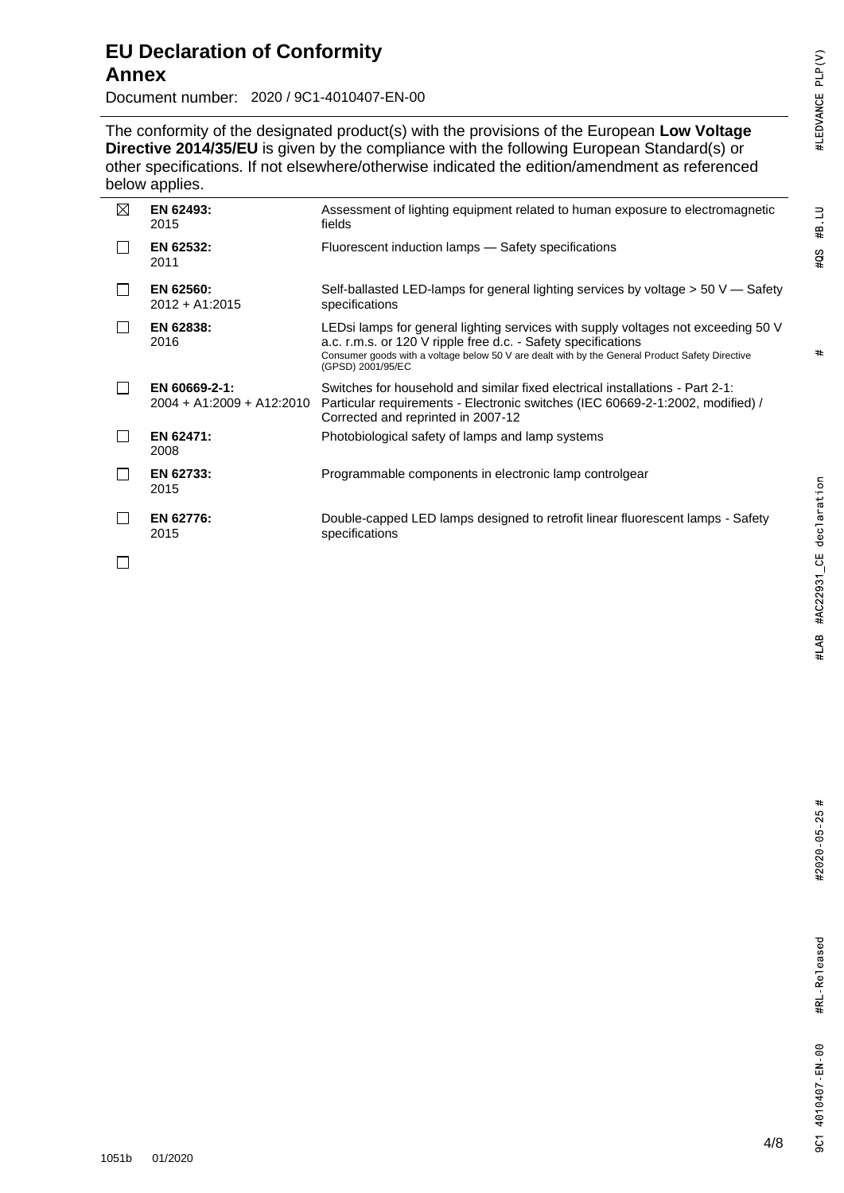#### $\#B$  LU  $#QS$

#### **EU Declaration of Conformity Annex**

Document number: 2020 / 9C1-4010407-EN-00

2020 / 9C1- The conformity of the designated product(s) with the provisions of the European Low Voltage **Directive 2014/35/EU** is given by the compliance with the following European Standard(s) or other specifications. If not elsewhere/otherwise indicated the edition/amendment as referenced below applies.

| ⊠ | EN 62493:<br>2015                          | Assessment of lighting equipment related to human exposure to electromagnetic<br>fields                                                                                                                                                                                    |
|---|--------------------------------------------|----------------------------------------------------------------------------------------------------------------------------------------------------------------------------------------------------------------------------------------------------------------------------|
|   | EN 62532:<br>2011                          | Fluorescent induction lamps - Safety specifications                                                                                                                                                                                                                        |
|   | EN 62560:<br>$2012 + A1:2015$              | Self-ballasted LED-lamps for general lighting services by voltage $> 50 \, \text{V}$ - Safety<br>specifications                                                                                                                                                            |
|   | EN 62838:<br>2016                          | LEDsi lamps for general lighting services with supply voltages not exceeding 50 V<br>a.c. r.m.s. or 120 V ripple free d.c. - Safety specifications<br>Consumer goods with a voltage below 50 V are dealt with by the General Product Safety Directive<br>(GPSD) 2001/95/EC |
|   | EN 60669-2-1:<br>2004 + A1:2009 + A12:2010 | Switches for household and similar fixed electrical installations - Part 2-1:<br>Particular requirements - Electronic switches (IEC 60669-2-1:2002, modified) /<br>Corrected and reprinted in 2007-12                                                                      |
|   | EN 62471:<br>2008                          | Photobiological safety of lamps and lamp systems                                                                                                                                                                                                                           |
|   | EN 62733:<br>2015                          | Programmable components in electronic lamp controlgear                                                                                                                                                                                                                     |
|   | EN 62776:<br>2015                          | Double-capped LED lamps designed to retrofit linear fluorescent lamps - Safety<br>specifications                                                                                                                                                                           |
|   |                                            |                                                                                                                                                                                                                                                                            |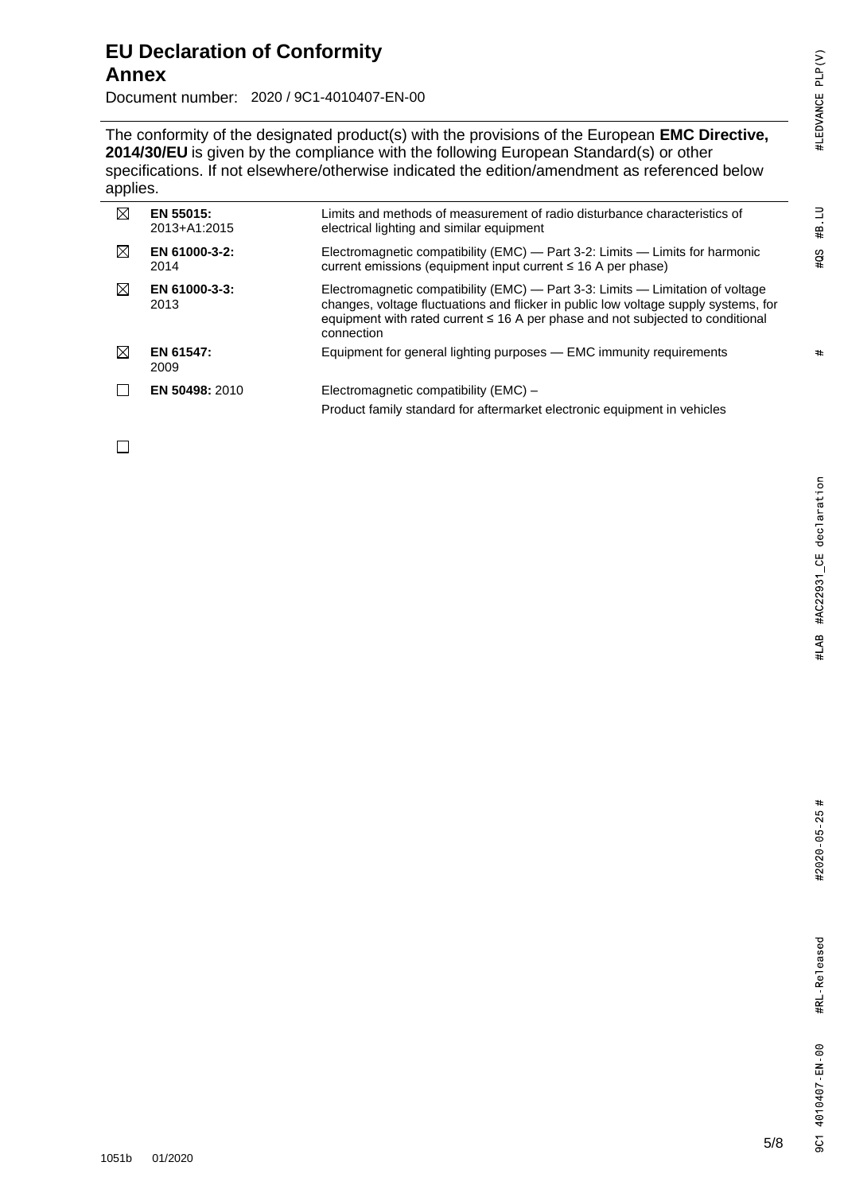## #LEDVANCE PLP(V)

#### **EU Declaration of Conformity Annex**

Document number: 2020 / 9C1-4010407-EN-00

The conformity of the designated product(s) with the provisions of the European **EMC Directive**, **2014/30/EU** is given by the compliance with the following European Standard(s) or other specifications. If not elsewhere/otherwise indicated the edition/amendment as referenced below applies.

| IX          | EN 55015:<br>2013+A1:2015 | Limits and methods of measurement of radio disturbance characteristics of<br>electrical lighting and similar equipment                                                                                                                                                     |
|-------------|---------------------------|----------------------------------------------------------------------------------------------------------------------------------------------------------------------------------------------------------------------------------------------------------------------------|
| $\boxtimes$ | EN 61000-3-2:<br>2014     | Electromagnetic compatibility (EMC) — Part 3-2: Limits — Limits for harmonic<br>current emissions (equipment input current ≤ 16 A per phase)                                                                                                                               |
| ⊠           | EN 61000-3-3:<br>2013     | Electromagnetic compatibility (EMC) — Part 3-3: Limits — Limitation of voltage<br>changes, voltage fluctuations and flicker in public low voltage supply systems, for<br>equipment with rated current $\leq$ 16 A per phase and not subjected to conditional<br>connection |
| ⊠           | EN 61547:<br>2009         | Equipment for general lighting purposes - EMC immunity requirements                                                                                                                                                                                                        |
|             | EN 50498: 2010            | Electromagnetic compatibility (EMC) -<br>Product family standard for aftermarket electronic equipment in vehicles                                                                                                                                                          |

2020 / 9C1-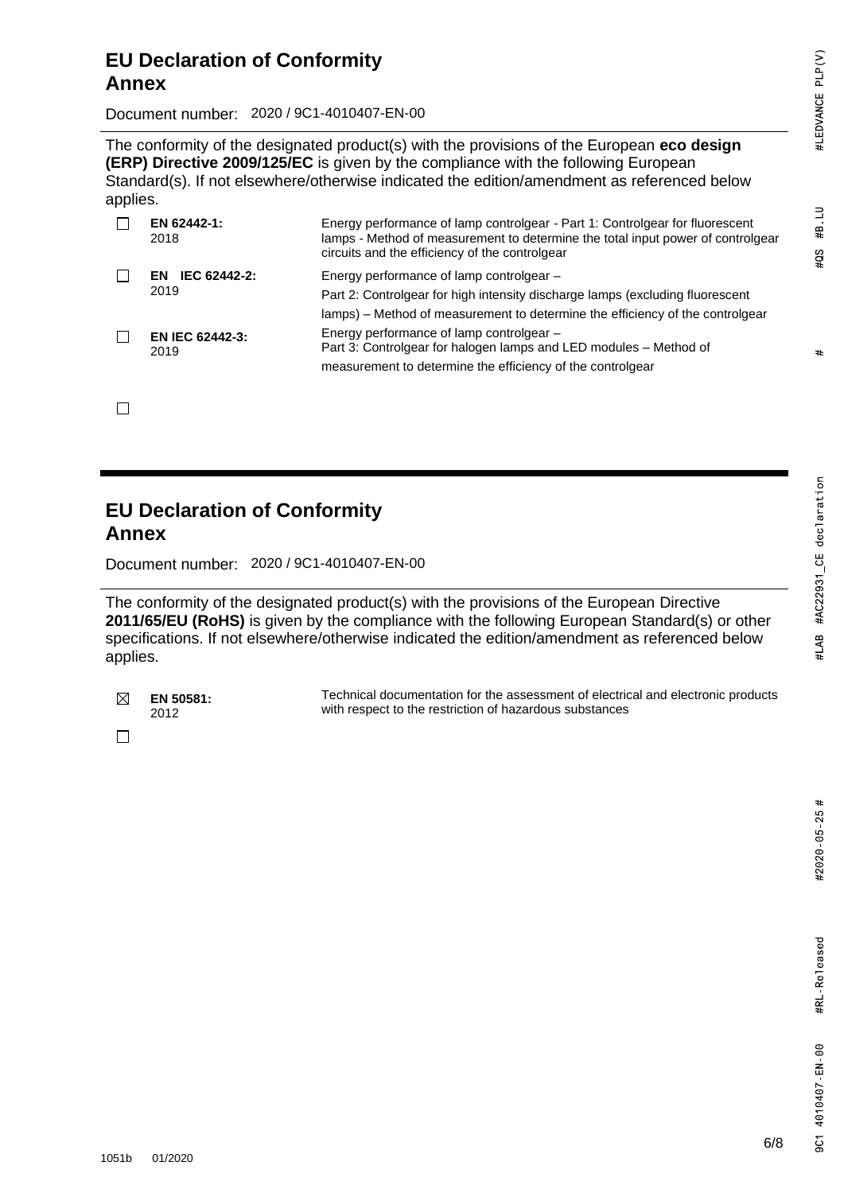#B LU

 $403$ 

 $#$ 

Document number: 2020 / 9C1-4010407-EN-00

The conformity of the designated product(s) with the provisions of the European **eco design (ERP) Directive 2009/125/EC** is given by the compliance with the following European Standard(s). If not elsewhere/otherwise indicated the edition/amendment as referenced below applies.

| EN 62442-1:<br>2018            | Energy performance of lamp controlgear - Part 1: Controlgear for fluorescent<br>lamps - Method of measurement to determine the total input power of controlgear<br>circuits and the efficiency of the controlgear |
|--------------------------------|-------------------------------------------------------------------------------------------------------------------------------------------------------------------------------------------------------------------|
| IEC 62442-2:<br>FN.<br>2019    | Energy performance of lamp controlgear -<br>Part 2: Controlgear for high intensity discharge lamps (excluding fluorescent<br>lamps) – Method of measurement to determine the efficiency of the controlgear        |
| <b>EN IEC 62442-3:</b><br>2019 | Energy performance of lamp controlgear -<br>Part 3: Controlgear for halogen lamps and LED modules - Method of<br>measurement to determine the efficiency of the controlgear                                       |

 $\Box$ 

#### **EU Declaration of Conformity Annex**

Document number: 2020 / 9C1-4010407-EN-00

The conformity of the designated product(s) with the provisions of the European Directive **2011/65/EU (RoHS)** is given by the compliance with the following European Standard(s) or other specifications. If not elsewhere/otherwise indicated the edition/amendment as referenced below applies.

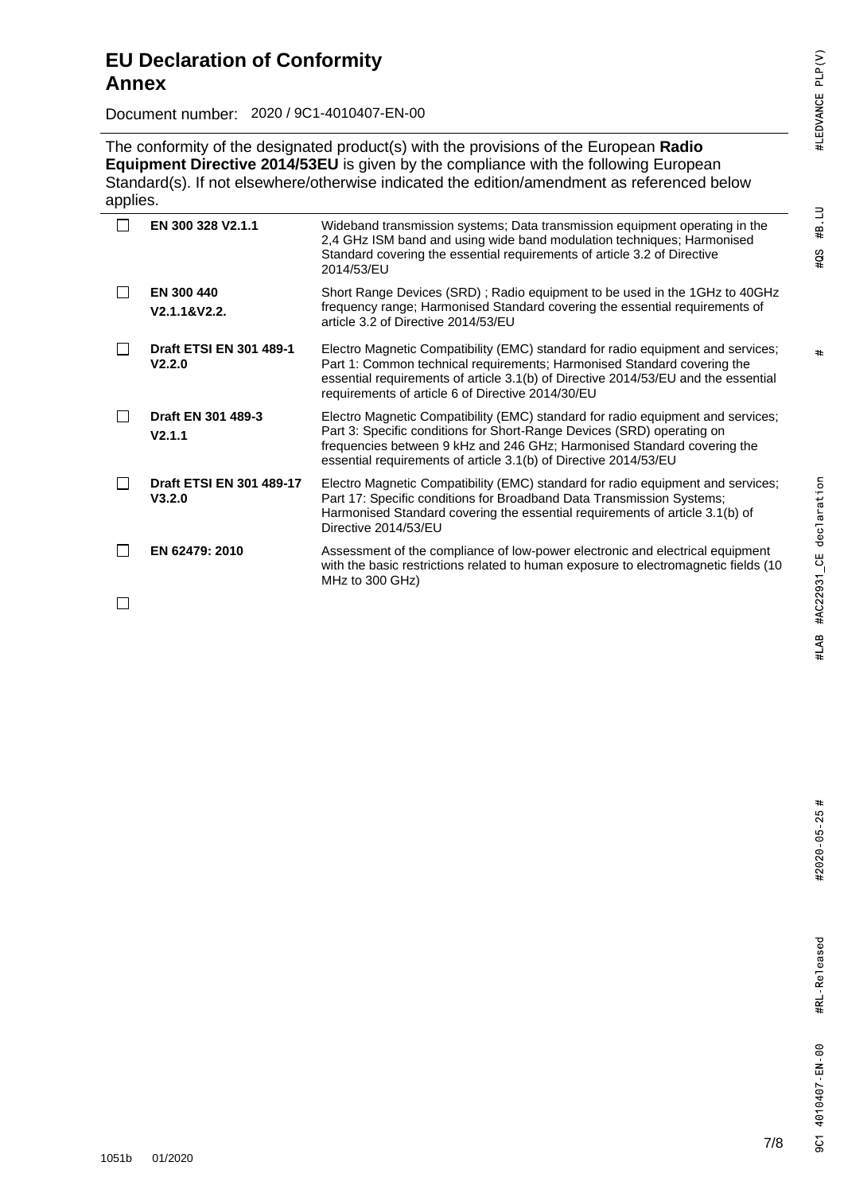### $#QS$

 $\#B$  LU

#### **EU Declaration of Conformity Annex**

Document number: 2020 / 9C1-4010407-EN-00

The conformity of the designated product(s) with the provisions of the European **Radio Equipment Directive 2014/53EU** is given by the compliance with the following European Standard(s). If not elsewhere/otherwise indicated the edition/amendment as referenced below applies.

| EN 300 328 V2.1.1                        | Wideband transmission systems; Data transmission equipment operating in the<br>2,4 GHz ISM band and using wide band modulation techniques; Harmonised<br>Standard covering the essential requirements of article 3.2 of Directive<br>2014/53/EU                                                          |
|------------------------------------------|----------------------------------------------------------------------------------------------------------------------------------------------------------------------------------------------------------------------------------------------------------------------------------------------------------|
| <b>EN 300 440</b><br>V2.1.1&V2.2.        | Short Range Devices (SRD); Radio equipment to be used in the 1GHz to 40GHz<br>frequency range; Harmonised Standard covering the essential requirements of<br>article 3.2 of Directive 2014/53/EU                                                                                                         |
| <b>Draft ETSI EN 301 489-1</b><br>V2.2.0 | Electro Magnetic Compatibility (EMC) standard for radio equipment and services;<br>Part 1: Common technical requirements; Harmonised Standard covering the<br>essential requirements of article 3.1(b) of Directive 2014/53/EU and the essential<br>requirements of article 6 of Directive 2014/30/EU    |
| Draft EN 301 489-3<br>V2.1.1             | Electro Magnetic Compatibility (EMC) standard for radio equipment and services;<br>Part 3: Specific conditions for Short-Range Devices (SRD) operating on<br>frequencies between 9 kHz and 246 GHz; Harmonised Standard covering the<br>essential requirements of article 3.1(b) of Directive 2014/53/EU |
| Draft ETSI EN 301 489-17<br>V3.2.0       | Electro Magnetic Compatibility (EMC) standard for radio equipment and services;<br>Part 17: Specific conditions for Broadband Data Transmission Systems;<br>Harmonised Standard covering the essential requirements of article 3.1(b) of<br>Directive 2014/53/EU                                         |
| EN 62479: 2010                           | Assessment of the compliance of low-power electronic and electrical equipment<br>with the basic restrictions related to human exposure to electromagnetic fields (10<br>MHz to 300 GHz)                                                                                                                  |

 $\Box$